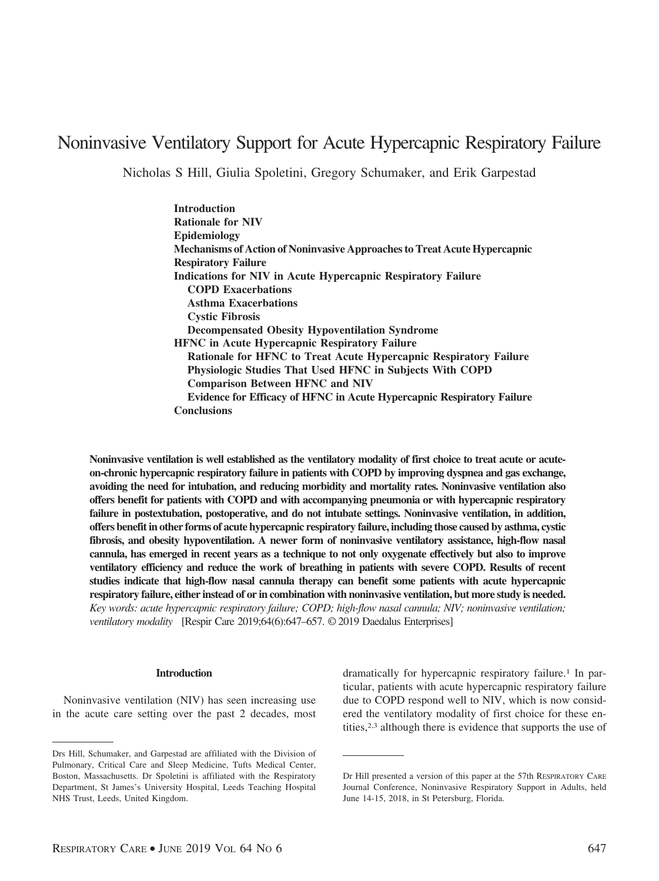# Noninvasive Ventilatory Support for Acute Hypercapnic Respiratory Failure

Nicholas S Hill, Giulia Spoletini, Gregory Schumaker, and Erik Garpestad

**Introduction Rationale for NIV Epidemiology Mechanisms of Action of Noninvasive Approaches to Treat Acute Hypercapnic Respiratory Failure Indications for NIV in Acute Hypercapnic Respiratory Failure COPD Exacerbations Asthma Exacerbations Cystic Fibrosis Decompensated Obesity Hypoventilation Syndrome HFNC in Acute Hypercapnic Respiratory Failure Rationale for HFNC to Treat Acute Hypercapnic Respiratory Failure Physiologic Studies That Used HFNC in Subjects With COPD Comparison Between HFNC and NIV Evidence for Efficacy of HFNC in Acute Hypercapnic Respiratory Failure Conclusions**

**Noninvasive ventilation is well established as the ventilatory modality of first choice to treat acute or acuteon-chronic hypercapnic respiratory failure in patients with COPD by improving dyspnea and gas exchange, avoiding the need for intubation, and reducing morbidity and mortality rates. Noninvasive ventilation also offers benefit for patients with COPD and with accompanying pneumonia or with hypercapnic respiratory failure in postextubation, postoperative, and do not intubate settings. Noninvasive ventilation, in addition, offers benefit in other forms of acute hypercapnic respiratory failure, including those caused by asthma, cystic fibrosis, and obesity hypoventilation. A newer form of noninvasive ventilatory assistance, high-flow nasal cannula, has emerged in recent years as a technique to not only oxygenate effectively but also to improve ventilatory efficiency and reduce the work of breathing in patients with severe COPD. Results of recent studies indicate that high-flow nasal cannula therapy can benefit some patients with acute hypercapnic respiratory failure, either instead of or in combination with noninvasive ventilation, but more study is needed.** *Key words: acute hypercapnic respiratory failure; COPD; high-flow nasal cannula; NIV; noninvasive ventilation; ventilatory modality* [Respir Care 2019;64(6):647–657. © 2019 Daedalus Enterprises]

#### **Introduction**

Noninvasive ventilation (NIV) has seen increasing use in the acute care setting over the past 2 decades, most dramatically for hypercapnic respiratory failure.<sup>1</sup> In particular, patients with acute hypercapnic respiratory failure due to COPD respond well to NIV, which is now considered the ventilatory modality of first choice for these entities,2,3 although there is evidence that supports the use of

Drs Hill, Schumaker, and Garpestad are affiliated with the Division of Pulmonary, Critical Care and Sleep Medicine, Tufts Medical Center, Boston, Massachusetts. Dr Spoletini is affiliated with the Respiratory Department, St James's University Hospital, Leeds Teaching Hospital NHS Trust, Leeds, United Kingdom.

Dr Hill presented a version of this paper at the 57th RESPIRATORY CARE Journal Conference, Noninvasive Respiratory Support in Adults, held June 14-15, 2018, in St Petersburg, Florida.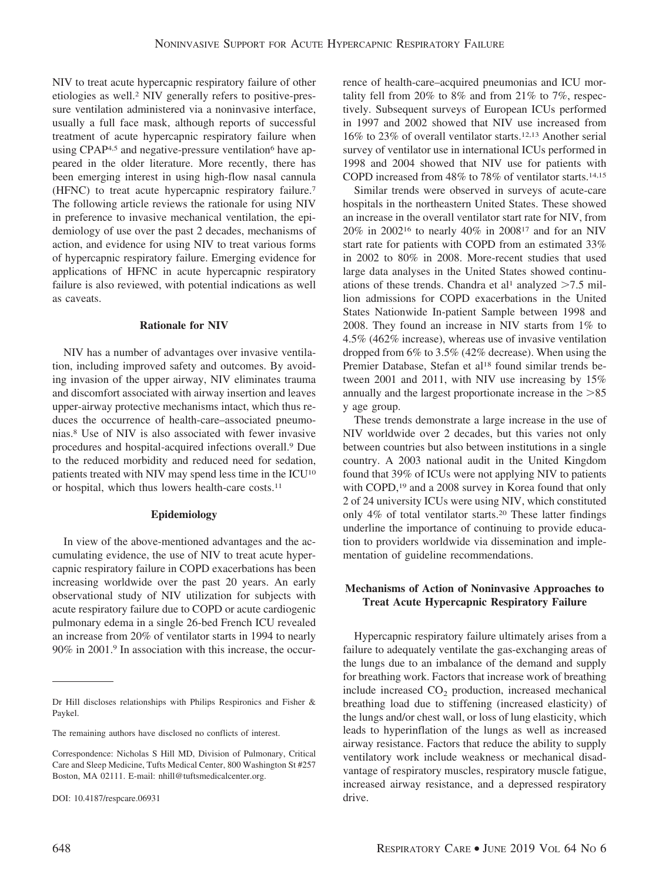NIV to treat acute hypercapnic respiratory failure of other etiologies as well.2 NIV generally refers to positive-pressure ventilation administered via a noninvasive interface, usually a full face mask, although reports of successful treatment of acute hypercapnic respiratory failure when using CPAP<sup>4,5</sup> and negative-pressure ventilation<sup>6</sup> have appeared in the older literature. More recently, there has been emerging interest in using high-flow nasal cannula (HFNC) to treat acute hypercapnic respiratory failure.7 The following article reviews the rationale for using NIV in preference to invasive mechanical ventilation, the epidemiology of use over the past 2 decades, mechanisms of action, and evidence for using NIV to treat various forms of hypercapnic respiratory failure. Emerging evidence for applications of HFNC in acute hypercapnic respiratory failure is also reviewed, with potential indications as well as caveats.

#### **Rationale for NIV**

NIV has a number of advantages over invasive ventilation, including improved safety and outcomes. By avoiding invasion of the upper airway, NIV eliminates trauma and discomfort associated with airway insertion and leaves upper-airway protective mechanisms intact, which thus reduces the occurrence of health-care–associated pneumonias.8 Use of NIV is also associated with fewer invasive procedures and hospital-acquired infections overall.9 Due to the reduced morbidity and reduced need for sedation, patients treated with NIV may spend less time in the ICU10 or hospital, which thus lowers health-care costs.11

#### **Epidemiology**

In view of the above-mentioned advantages and the accumulating evidence, the use of NIV to treat acute hypercapnic respiratory failure in COPD exacerbations has been increasing worldwide over the past 20 years. An early observational study of NIV utilization for subjects with acute respiratory failure due to COPD or acute cardiogenic pulmonary edema in a single 26-bed French ICU revealed an increase from 20% of ventilator starts in 1994 to nearly 90% in 2001.9 In association with this increase, the occurrence of health-care–acquired pneumonias and ICU mortality fell from 20% to 8% and from 21% to 7%, respectively. Subsequent surveys of European ICUs performed in 1997 and 2002 showed that NIV use increased from 16% to 23% of overall ventilator starts.12,13 Another serial survey of ventilator use in international ICUs performed in 1998 and 2004 showed that NIV use for patients with COPD increased from 48% to 78% of ventilator starts.14,15

Similar trends were observed in surveys of acute-care hospitals in the northeastern United States. These showed an increase in the overall ventilator start rate for NIV, from 20% in 200216 to nearly 40% in 200817 and for an NIV start rate for patients with COPD from an estimated 33% in 2002 to 80% in 2008. More-recent studies that used large data analyses in the United States showed continuations of these trends. Chandra et al<sup>1</sup> analyzed  $>7.5$  million admissions for COPD exacerbations in the United States Nationwide In-patient Sample between 1998 and 2008. They found an increase in NIV starts from 1% to 4.5% (462% increase), whereas use of invasive ventilation dropped from 6% to 3.5% (42% decrease). When using the Premier Database, Stefan et al<sup>18</sup> found similar trends between 2001 and 2011, with NIV use increasing by 15% annually and the largest proportionate increase in the  $>85$ y age group.

These trends demonstrate a large increase in the use of NIV worldwide over 2 decades, but this varies not only between countries but also between institutions in a single country. A 2003 national audit in the United Kingdom found that 39% of ICUs were not applying NIV to patients with COPD,<sup>19</sup> and a 2008 survey in Korea found that only 2 of 24 university ICUs were using NIV, which constituted only 4% of total ventilator starts.20 These latter findings underline the importance of continuing to provide education to providers worldwide via dissemination and implementation of guideline recommendations.

# **Mechanisms of Action of Noninvasive Approaches to Treat Acute Hypercapnic Respiratory Failure**

Hypercapnic respiratory failure ultimately arises from a failure to adequately ventilate the gas-exchanging areas of the lungs due to an imbalance of the demand and supply for breathing work. Factors that increase work of breathing include increased  $CO<sub>2</sub>$  production, increased mechanical breathing load due to stiffening (increased elasticity) of the lungs and/or chest wall, or loss of lung elasticity, which leads to hyperinflation of the lungs as well as increased airway resistance. Factors that reduce the ability to supply ventilatory work include weakness or mechanical disadvantage of respiratory muscles, respiratory muscle fatigue, increased airway resistance, and a depressed respiratory drive.

Dr Hill discloses relationships with Philips Respironics and Fisher & Paykel.

The remaining authors have disclosed no conflicts of interest.

Correspondence: Nicholas S Hill MD, Division of Pulmonary, Critical Care and Sleep Medicine, Tufts Medical Center, 800 Washington St #257 Boston, MA 02111. E-mail: nhill@tuftsmedicalcenter.org.

DOI: 10.4187/respcare.06931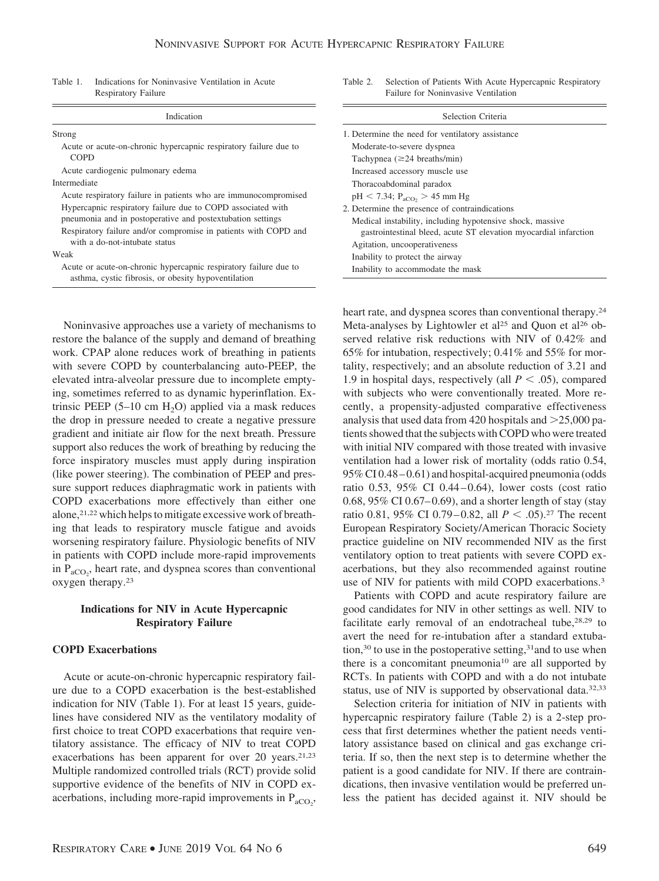Table 1. Indications for Noninvasive Ventilation in Acute Respiratory Failure

| Indication                                                                                                                | Sel                                                           |  |
|---------------------------------------------------------------------------------------------------------------------------|---------------------------------------------------------------|--|
| Strong                                                                                                                    | 1. Determine the need for ven                                 |  |
| Acute or acute-on-chronic hypercapnic respiratory failure due to<br><b>COPD</b>                                           | Moderate-to-severe dyspnea<br>Tachypnea $(\geq 24$ breaths/m  |  |
| Acute cardiogenic pulmonary edema                                                                                         | Increased accessory muscle                                    |  |
| Intermediate                                                                                                              | Thoracoabdominal paradox                                      |  |
| Acute respiratory failure in patients who are immunocompromised                                                           | $pH < 7.34$ ; $P_{aCO_2} > 45$ mn                             |  |
| Hypercapnic respiratory failure due to COPD associated with<br>pneumonia and in postoperative and postextubation settings | 2. Determine the presence of<br>Medical instability, includin |  |
| Respiratory failure and/or compromise in patients with COPD and<br>with a do-not-intubate status                          | gastrointestinal bleed, act<br>Agitation, uncooperativenes    |  |
| Weak                                                                                                                      | Inability to protect the airw                                 |  |
| Acute or acute-on-chronic hypercapnic respiratory failure due to<br>asthma, cystic fibrosis, or obesity hypoventilation   | Inability to accommodate the                                  |  |

Noninvasive approaches use a variety of mechanisms to restore the balance of the supply and demand of breathing work. CPAP alone reduces work of breathing in patients with severe COPD by counterbalancing auto-PEEP, the elevated intra-alveolar pressure due to incomplete emptying, sometimes referred to as dynamic hyperinflation. Extrinsic PEEP  $(5-10 \text{ cm H}_2O)$  applied via a mask reduces the drop in pressure needed to create a negative pressure gradient and initiate air flow for the next breath. Pressure support also reduces the work of breathing by reducing the force inspiratory muscles must apply during inspiration (like power steering). The combination of PEEP and pressure support reduces diaphragmatic work in patients with COPD exacerbations more effectively than either one alone,<sup>21,22</sup> which helps to mitigate excessive work of breathing that leads to respiratory muscle fatigue and avoids worsening respiratory failure. Physiologic benefits of NIV in patients with COPD include more-rapid improvements in  $P_{aCO_2}$ , heart rate, and dyspnea scores than conventional oxygen therapy.23

#### **Indications for NIV in Acute Hypercapnic Respiratory Failure**

# **COPD Exacerbations**

Acute or acute-on-chronic hypercapnic respiratory failure due to a COPD exacerbation is the best-established indication for NIV (Table 1). For at least 15 years, guidelines have considered NIV as the ventilatory modality of first choice to treat COPD exacerbations that require ventilatory assistance. The efficacy of NIV to treat COPD exacerbations has been apparent for over 20 years.<sup>21,23</sup> Multiple randomized controlled trials (RCT) provide solid supportive evidence of the benefits of NIV in COPD exacerbations, including more-rapid improvements in  $P_{aCO_2}$ ,

Table 2. Selection of Patients With Acute Hypercapnic Respiratory Failure for Noninvasive Ventilation

| Selection Criteria                                                                                                            |
|-------------------------------------------------------------------------------------------------------------------------------|
| 1. Determine the need for ventilatory assistance                                                                              |
| Moderate-to-severe dyspnea                                                                                                    |
| Tachypnea $(\geq 24$ breaths/min)                                                                                             |
| Increased accessory muscle use                                                                                                |
| Thoracoabdominal paradox                                                                                                      |
| $pH < 7.34$ ; $P_{aCO_2} > 45$ mm Hg                                                                                          |
| 2. Determine the presence of contraindications                                                                                |
| Medical instability, including hypotensive shock, massive<br>gastrointestinal bleed, acute ST elevation myocardial infarction |
| Agitation, uncooperativeness                                                                                                  |
| Inability to protect the airway                                                                                               |
| Inability to accommodate the mask                                                                                             |

heart rate, and dyspnea scores than conventional therapy.<sup>24</sup> Meta-analyses by Lightowler et al<sup>25</sup> and Quon et al<sup>26</sup> observed relative risk reductions with NIV of 0.42% and 65% for intubation, respectively; 0.41% and 55% for mortality, respectively; and an absolute reduction of 3.21 and 1.9 in hospital days, respectively (all  $P < .05$ ), compared with subjects who were conventionally treated. More recently, a propensity-adjusted comparative effectiveness analysis that used data from 420 hospitals and  $>$ 25,000 patients showed that the subjects with COPD who were treated with initial NIV compared with those treated with invasive ventilation had a lower risk of mortality (odds ratio 0.54, 95% CI 0.48 – 0.61) and hospital-acquired pneumonia (odds ratio  $0.53$ ,  $95\%$  CI  $0.44 - 0.64$ ), lower costs (cost ratio 0.68, 95% CI 0.67– 0.69), and a shorter length of stay (stay ratio 0.81, 95% CI 0.79–0.82, all  $P < .05$ ).<sup>27</sup> The recent European Respiratory Society/American Thoracic Society practice guideline on NIV recommended NIV as the first ventilatory option to treat patients with severe COPD exacerbations, but they also recommended against routine use of NIV for patients with mild COPD exacerbations.<sup>3</sup>

Patients with COPD and acute respiratory failure are good candidates for NIV in other settings as well. NIV to facilitate early removal of an endotracheal tube,<sup>28,29</sup> to avert the need for re-intubation after a standard extubation,<sup>30</sup> to use in the postoperative setting,<sup>31</sup> and to use when there is a concomitant pneumonia10 are all supported by RCTs. In patients with COPD and with a do not intubate status, use of NIV is supported by observational data.<sup>32,33</sup>

Selection criteria for initiation of NIV in patients with hypercapnic respiratory failure (Table 2) is a 2-step process that first determines whether the patient needs ventilatory assistance based on clinical and gas exchange criteria. If so, then the next step is to determine whether the patient is a good candidate for NIV. If there are contraindications, then invasive ventilation would be preferred unless the patient has decided against it. NIV should be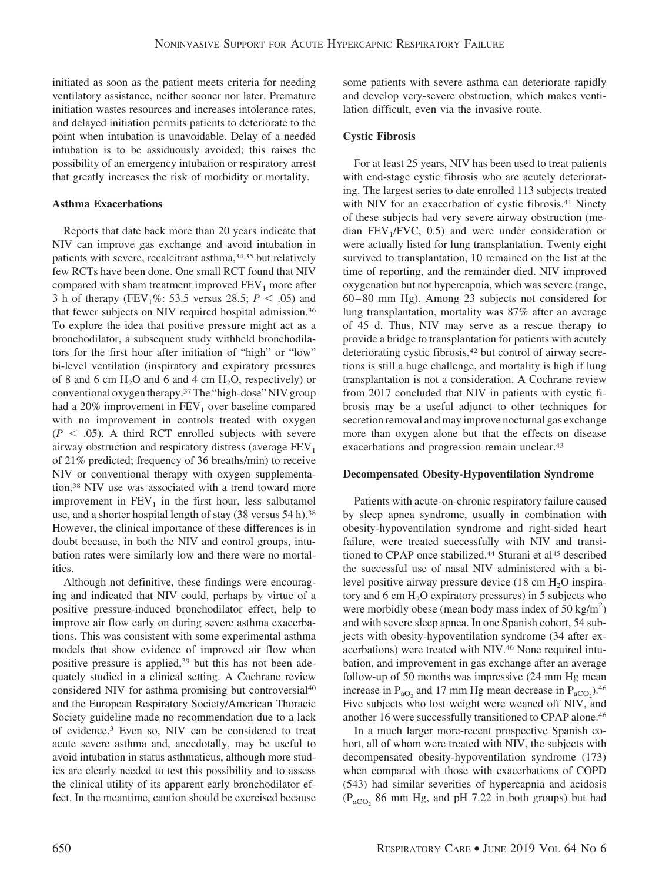initiated as soon as the patient meets criteria for needing ventilatory assistance, neither sooner nor later. Premature initiation wastes resources and increases intolerance rates, and delayed initiation permits patients to deteriorate to the point when intubation is unavoidable. Delay of a needed intubation is to be assiduously avoided; this raises the possibility of an emergency intubation or respiratory arrest that greatly increases the risk of morbidity or mortality.

#### **Asthma Exacerbations**

Reports that date back more than 20 years indicate that NIV can improve gas exchange and avoid intubation in patients with severe, recalcitrant asthma, 34,35 but relatively few RCTs have been done. One small RCT found that NIV compared with sham treatment improved  $FEV<sub>1</sub>$  more after 3 h of therapy (FEV<sub>1</sub>%: 53.5 versus 28.5;  $P < .05$ ) and that fewer subjects on NIV required hospital admission.36 To explore the idea that positive pressure might act as a bronchodilator, a subsequent study withheld bronchodilators for the first hour after initiation of "high" or "low" bi-level ventilation (inspiratory and expiratory pressures of 8 and 6 cm  $H_2O$  and 6 and 4 cm  $H_2O$ , respectively) or conventional oxygen therapy.37The "high-dose" NIV group had a  $20\%$  improvement in  $FEV<sub>1</sub>$  over baseline compared with no improvement in controls treated with oxygen  $(P < .05)$ . A third RCT enrolled subjects with severe airway obstruction and respiratory distress (average  $FEV<sub>1</sub>$ of 21% predicted; frequency of 36 breaths/min) to receive NIV or conventional therapy with oxygen supplementation.38 NIV use was associated with a trend toward more improvement in  $FEV<sub>1</sub>$  in the first hour, less salbutamol use, and a shorter hospital length of stay (38 versus 54 h).<sup>38</sup> However, the clinical importance of these differences is in doubt because, in both the NIV and control groups, intubation rates were similarly low and there were no mortalities.

Although not definitive, these findings were encouraging and indicated that NIV could, perhaps by virtue of a positive pressure-induced bronchodilator effect, help to improve air flow early on during severe asthma exacerbations. This was consistent with some experimental asthma models that show evidence of improved air flow when positive pressure is applied,<sup>39</sup> but this has not been adequately studied in a clinical setting. A Cochrane review considered NIV for asthma promising but controversial<sup>40</sup> and the European Respiratory Society/American Thoracic Society guideline made no recommendation due to a lack of evidence.3 Even so, NIV can be considered to treat acute severe asthma and, anecdotally, may be useful to avoid intubation in status asthmaticus, although more studies are clearly needed to test this possibility and to assess the clinical utility of its apparent early bronchodilator effect. In the meantime, caution should be exercised because

some patients with severe asthma can deteriorate rapidly and develop very-severe obstruction, which makes ventilation difficult, even via the invasive route.

# **Cystic Fibrosis**

For at least 25 years, NIV has been used to treat patients with end-stage cystic fibrosis who are acutely deteriorating. The largest series to date enrolled 113 subjects treated with NIV for an exacerbation of cystic fibrosis.<sup>41</sup> Ninety of these subjects had very severe airway obstruction (median  $FEV<sub>1</sub>/FVC$ , 0.5) and were under consideration or were actually listed for lung transplantation. Twenty eight survived to transplantation, 10 remained on the list at the time of reporting, and the remainder died. NIV improved oxygenation but not hypercapnia, which was severe (range, 60 – 80 mm Hg). Among 23 subjects not considered for lung transplantation, mortality was 87% after an average of 45 d. Thus, NIV may serve as a rescue therapy to provide a bridge to transplantation for patients with acutely deteriorating cystic fibrosis,<sup>42</sup> but control of airway secretions is still a huge challenge, and mortality is high if lung transplantation is not a consideration. A Cochrane review from 2017 concluded that NIV in patients with cystic fibrosis may be a useful adjunct to other techniques for secretion removal and may improve nocturnal gas exchange more than oxygen alone but that the effects on disease exacerbations and progression remain unclear.43

#### **Decompensated Obesity-Hypoventilation Syndrome**

Patients with acute-on-chronic respiratory failure caused by sleep apnea syndrome, usually in combination with obesity-hypoventilation syndrome and right-sided heart failure, were treated successfully with NIV and transitioned to CPAP once stabilized.<sup>44</sup> Sturani et al<sup>45</sup> described the successful use of nasal NIV administered with a bilevel positive airway pressure device  $(18 \text{ cm H}_2\text{O})$  inspiratory and 6 cm  $H_2O$  expiratory pressures) in 5 subjects who were morbidly obese (mean body mass index of  $50 \text{ kg/m}^2$ ) and with severe sleep apnea. In one Spanish cohort, 54 subjects with obesity-hypoventilation syndrome (34 after exacerbations) were treated with NIV.46 None required intubation, and improvement in gas exchange after an average follow-up of 50 months was impressive (24 mm Hg mean increase in  $P_{aO_2}$  and 17 mm Hg mean decrease in  $P_{aCO_2}$ ).<sup>46</sup> Five subjects who lost weight were weaned off NIV, and another 16 were successfully transitioned to CPAP alone.46

In a much larger more-recent prospective Spanish cohort, all of whom were treated with NIV, the subjects with decompensated obesity-hypoventilation syndrome (173) when compared with those with exacerbations of COPD (543) had similar severities of hypercapnia and acidosis  $(P_{aCO_2}$  86 mm Hg, and pH 7.22 in both groups) but had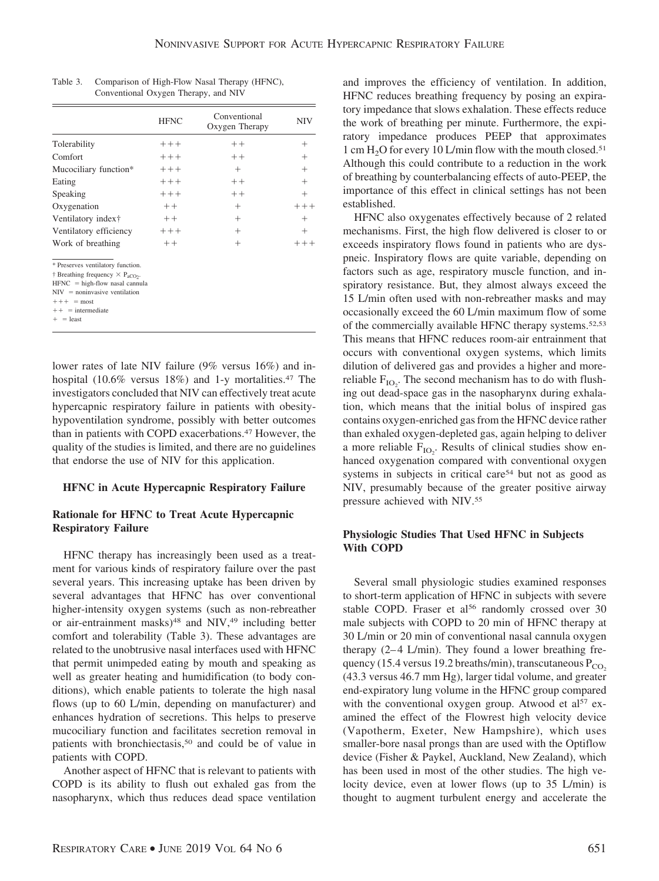|                                                                                                                                                                                                                      | <b>HFNC</b> | Conventional<br>Oxygen Therapy | <b>NIV</b> |
|----------------------------------------------------------------------------------------------------------------------------------------------------------------------------------------------------------------------|-------------|--------------------------------|------------|
| Tolerability                                                                                                                                                                                                         | $++++$      | $++$                           | $^{+}$     |
| Comfort                                                                                                                                                                                                              | $++++$      | $++$                           | $^{+}$     |
| Mucociliary function*                                                                                                                                                                                                | $+++$       | $+$                            | $^{+}$     |
| Eating                                                                                                                                                                                                               | $+++$       | $++$                           | $^{+}$     |
| Speaking                                                                                                                                                                                                             | $+++$       | $++$                           | $^{+}$     |
| Oxygenation                                                                                                                                                                                                          | $++$        | $^{+}$                         | $+++$      |
| Ventilatory index <sup>†</sup>                                                                                                                                                                                       | $++$        | $^{+}$                         | $+$        |
| Ventilatory efficiency                                                                                                                                                                                               | $++++$      | $^{+}$                         | $^{+}$     |
| Work of breathing                                                                                                                                                                                                    | $++$        | $^{+}$                         | $+++$      |
| * Preserves ventilatory function.<br>† Breathing frequency $\times$ P <sub>aCO2</sub> .<br>$HFNC = high-flow$ nasal cannula<br>$NIV = noninvasive ventilation$<br>$+++$ = most<br>$++$ = intermediate<br>$+$ = least |             |                                |            |

| Table 3. | Comparison of High-Flow Nasal Therapy (HFNC), |
|----------|-----------------------------------------------|
|          | Conventional Oxygen Therapy, and NIV          |

lower rates of late NIV failure (9% versus 16%) and inhospital (10.6% versus 18%) and 1-y mortalities.<sup>47</sup> The investigators concluded that NIV can effectively treat acute hypercapnic respiratory failure in patients with obesityhypoventilation syndrome, possibly with better outcomes than in patients with COPD exacerbations.47 However, the quality of the studies is limited, and there are no guidelines that endorse the use of NIV for this application.

#### **HFNC in Acute Hypercapnic Respiratory Failure**

#### **Rationale for HFNC to Treat Acute Hypercapnic Respiratory Failure**

HFNC therapy has increasingly been used as a treatment for various kinds of respiratory failure over the past several years. This increasing uptake has been driven by several advantages that HFNC has over conventional higher-intensity oxygen systems (such as non-rebreather or air-entrainment masks)<sup>48</sup> and NIV,<sup>49</sup> including better comfort and tolerability (Table 3). These advantages are related to the unobtrusive nasal interfaces used with HFNC that permit unimpeded eating by mouth and speaking as well as greater heating and humidification (to body conditions), which enable patients to tolerate the high nasal flows (up to 60 L/min, depending on manufacturer) and enhances hydration of secretions. This helps to preserve mucociliary function and facilitates secretion removal in patients with bronchiectasis,<sup>50</sup> and could be of value in patients with COPD.

Another aspect of HFNC that is relevant to patients with COPD is its ability to flush out exhaled gas from the nasopharynx, which thus reduces dead space ventilation

and improves the efficiency of ventilation. In addition, HFNC reduces breathing frequency by posing an expiratory impedance that slows exhalation. These effects reduce the work of breathing per minute. Furthermore, the expiratory impedance produces PEEP that approximates 1 cm  $H<sub>2</sub>O$  for every 10 L/min flow with the mouth closed.<sup>51</sup> Although this could contribute to a reduction in the work of breathing by counterbalancing effects of auto-PEEP, the importance of this effect in clinical settings has not been established.

HFNC also oxygenates effectively because of 2 related mechanisms. First, the high flow delivered is closer to or exceeds inspiratory flows found in patients who are dyspneic. Inspiratory flows are quite variable, depending on factors such as age, respiratory muscle function, and inspiratory resistance. But, they almost always exceed the 15 L/min often used with non-rebreather masks and may occasionally exceed the 60 L/min maximum flow of some of the commercially available HFNC therapy systems.52,53 This means that HFNC reduces room-air entrainment that occurs with conventional oxygen systems, which limits dilution of delivered gas and provides a higher and morereliable  $F_{IO_2}$ . The second mechanism has to do with flushing out dead-space gas in the nasopharynx during exhalation, which means that the initial bolus of inspired gas contains oxygen-enriched gas from the HFNC device rather than exhaled oxygen-depleted gas, again helping to deliver a more reliable  $F_{IO_2}$ . Results of clinical studies show enhanced oxygenation compared with conventional oxygen systems in subjects in critical care<sup>54</sup> but not as good as NIV, presumably because of the greater positive airway pressure achieved with NIV.55

# **Physiologic Studies That Used HFNC in Subjects With COPD**

Several small physiologic studies examined responses to short-term application of HFNC in subjects with severe stable COPD. Fraser et al<sup>56</sup> randomly crossed over 30 male subjects with COPD to 20 min of HFNC therapy at 30 L/min or 20 min of conventional nasal cannula oxygen therapy  $(2-4 \text{ L/min})$ . They found a lower breathing frequency (15.4 versus 19.2 breaths/min), transcutaneous  $P_{CO}$ . (43.3 versus 46.7 mm Hg), larger tidal volume, and greater end-expiratory lung volume in the HFNC group compared with the conventional oxygen group. Atwood et al<sup>57</sup> examined the effect of the Flowrest high velocity device (Vapotherm, Exeter, New Hampshire), which uses smaller-bore nasal prongs than are used with the Optiflow device (Fisher & Paykel, Auckland, New Zealand), which has been used in most of the other studies. The high velocity device, even at lower flows (up to 35 L/min) is thought to augment turbulent energy and accelerate the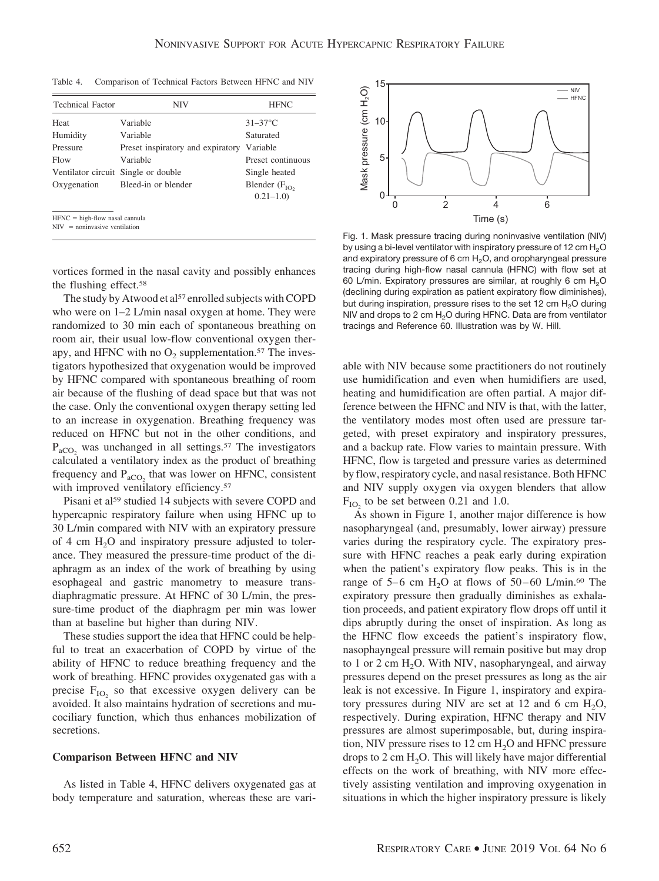Table 4. Comparison of Technical Factors Between HFNC and NIV

| NIV                                 | <b>HFNC</b>                     |
|-------------------------------------|---------------------------------|
| Variable                            | $31-37$ °C                      |
| Variable                            | Saturated                       |
| Preset inspiratory and expiratory   | Variable                        |
| Variable                            | Preset continuous               |
| Ventilator circuit Single or double | Single heated                   |
| Bleed-in or blender                 | Blender $(FIO)$<br>$0.21 - 1.0$ |
|                                     |                                 |

 $NIV =$  noninvasive ventilation

vortices formed in the nasal cavity and possibly enhances the flushing effect.58

The study by Atwood et al<sup>57</sup> enrolled subjects with COPD who were on  $1-2$  L/min nasal oxygen at home. They were randomized to 30 min each of spontaneous breathing on room air, their usual low-flow conventional oxygen therapy, and HFNC with no  $O_2$  supplementation.<sup>57</sup> The investigators hypothesized that oxygenation would be improved by HFNC compared with spontaneous breathing of room air because of the flushing of dead space but that was not the case. Only the conventional oxygen therapy setting led to an increase in oxygenation. Breathing frequency was reduced on HFNC but not in the other conditions, and  $P_{aCO_2}$  was unchanged in all settings.<sup>57</sup> The investigators calculated a ventilatory index as the product of breathing frequency and  $P_{aCO_2}$  that was lower on HFNC, consistent with improved ventilatory efficiency.<sup>57</sup>

Pisani et al<sup>59</sup> studied 14 subjects with severe COPD and hypercapnic respiratory failure when using HFNC up to 30 L/min compared with NIV with an expiratory pressure of 4 cm  $H<sub>2</sub>O$  and inspiratory pressure adjusted to tolerance. They measured the pressure-time product of the diaphragm as an index of the work of breathing by using esophageal and gastric manometry to measure transdiaphragmatic pressure. At HFNC of 30 L/min, the pressure-time product of the diaphragm per min was lower than at baseline but higher than during NIV.

These studies support the idea that HFNC could be helpful to treat an exacerbation of COPD by virtue of the ability of HFNC to reduce breathing frequency and the work of breathing. HFNC provides oxygenated gas with a precise  $F_{IO}$  so that excessive oxygen delivery can be avoided. It also maintains hydration of secretions and mucociliary function, which thus enhances mobilization of secretions.

#### **Comparison Between HFNC and NIV**

As listed in Table 4, HFNC delivers oxygenated gas at body temperature and saturation, whereas these are vari-



Fig. 1. Mask pressure tracing during noninvasive ventilation (NIV) by using a bi-level ventilator with inspiratory pressure of 12 cm  $H_2O$ and expiratory pressure of 6 cm  $H<sub>2</sub>O$ , and oropharyngeal pressure tracing during high-flow nasal cannula (HFNC) with flow set at 60 L/min. Expiratory pressures are similar, at roughly 6 cm  $H_2O$ (declining during expiration as patient expiratory flow diminishes), but during inspiration, pressure rises to the set 12 cm  $H<sub>2</sub>O$  during NIV and drops to 2 cm  $H<sub>2</sub>O$  during HFNC. Data are from ventilator tracings and Reference 60. Illustration was by W. Hill.

able with NIV because some practitioners do not routinely use humidification and even when humidifiers are used, heating and humidification are often partial. A major difference between the HFNC and NIV is that, with the latter, the ventilatory modes most often used are pressure targeted, with preset expiratory and inspiratory pressures, and a backup rate. Flow varies to maintain pressure. With HFNC, flow is targeted and pressure varies as determined by flow, respiratory cycle, and nasal resistance. Both HFNC and NIV supply oxygen via oxygen blenders that allow  $F_{IO}$  to be set between 0.21 and 1.0.

As shown in Figure 1, another major difference is how nasopharyngeal (and, presumably, lower airway) pressure varies during the respiratory cycle. The expiratory pressure with HFNC reaches a peak early during expiration when the patient's expiratory flow peaks. This is in the range of 5–6 cm  $H_2O$  at flows of 50–60 L/min.<sup>60</sup> The expiratory pressure then gradually diminishes as exhalation proceeds, and patient expiratory flow drops off until it dips abruptly during the onset of inspiration. As long as the HFNC flow exceeds the patient's inspiratory flow, nasophayngeal pressure will remain positive but may drop to 1 or 2 cm  $H_2O$ . With NIV, nasopharyngeal, and airway pressures depend on the preset pressures as long as the air leak is not excessive. In Figure 1, inspiratory and expiratory pressures during NIV are set at 12 and 6 cm  $H_2O$ , respectively. During expiration, HFNC therapy and NIV pressures are almost superimposable, but, during inspiration, NIV pressure rises to  $12 \text{ cm H}_2\text{O}$  and HFNC pressure drops to  $2 \text{ cm H}_2$ O. This will likely have major differential effects on the work of breathing, with NIV more effectively assisting ventilation and improving oxygenation in situations in which the higher inspiratory pressure is likely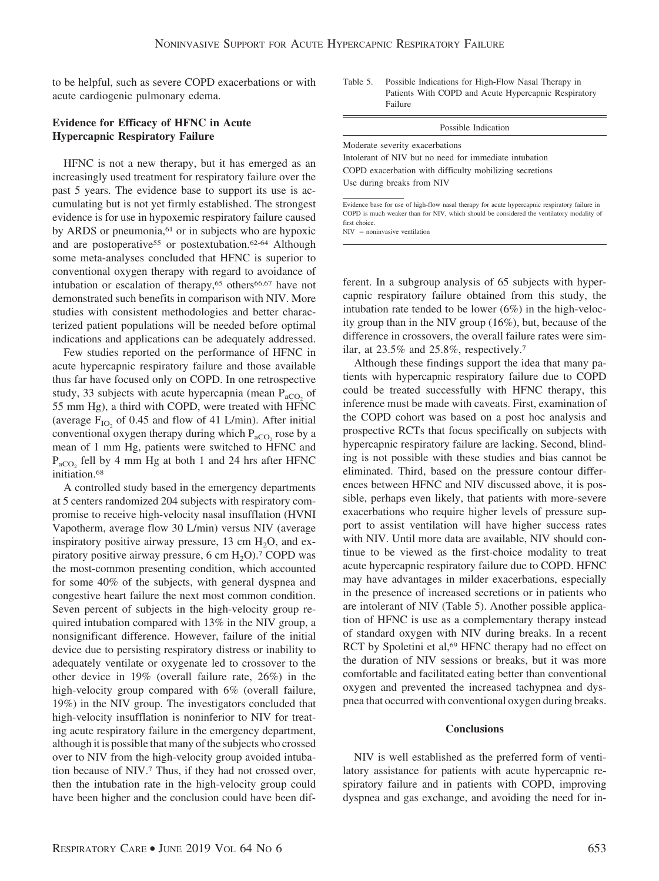to be helpful, such as severe COPD exacerbations or with acute cardiogenic pulmonary edema.

#### **Evidence for Efficacy of HFNC in Acute Hypercapnic Respiratory Failure**

HFNC is not a new therapy, but it has emerged as an increasingly used treatment for respiratory failure over the past 5 years. The evidence base to support its use is accumulating but is not yet firmly established. The strongest evidence is for use in hypoxemic respiratory failure caused by ARDS or pneumonia,<sup>61</sup> or in subjects who are hypoxic and are postoperative<sup>55</sup> or postextubation.<sup>62-64</sup> Although some meta-analyses concluded that HFNC is superior to conventional oxygen therapy with regard to avoidance of intubation or escalation of therapy, $65$  others $66,67$  have not demonstrated such benefits in comparison with NIV. More studies with consistent methodologies and better characterized patient populations will be needed before optimal indications and applications can be adequately addressed.

Few studies reported on the performance of HFNC in acute hypercapnic respiratory failure and those available thus far have focused only on COPD. In one retrospective study, 33 subjects with acute hypercapnia (mean  $P_{\text{aCO}_2}$  of 55 mm Hg), a third with COPD, were treated with HFNC (average  $F_{IO}$  of 0.45 and flow of 41 L/min). After initial conventional oxygen therapy during which  $P_{\text{aCO}_2}$  rose by a mean of 1 mm Hg, patients were switched to HFNC and  $P_{aCO_2}$  fell by 4 mm Hg at both 1 and 24 hrs after HFNC initiation.68

A controlled study based in the emergency departments at 5 centers randomized 204 subjects with respiratory compromise to receive high-velocity nasal insufflation (HVNI Vapotherm, average flow 30 L/min) versus NIV (average inspiratory positive airway pressure,  $13 \text{ cm H}_2\text{O}$ , and expiratory positive airway pressure,  $6 \text{ cm H}_2\text{O}$ .<sup>7</sup> COPD was the most-common presenting condition, which accounted for some 40% of the subjects, with general dyspnea and congestive heart failure the next most common condition. Seven percent of subjects in the high-velocity group required intubation compared with 13% in the NIV group, a nonsignificant difference. However, failure of the initial device due to persisting respiratory distress or inability to adequately ventilate or oxygenate led to crossover to the other device in 19% (overall failure rate, 26%) in the high-velocity group compared with 6% (overall failure, 19%) in the NIV group. The investigators concluded that high-velocity insufflation is noninferior to NIV for treating acute respiratory failure in the emergency department, although it is possible that many of the subjects who crossed over to NIV from the high-velocity group avoided intubation because of NIV.7 Thus, if they had not crossed over, then the intubation rate in the high-velocity group could have been higher and the conclusion could have been difTable 5. Possible Indications for High-Flow Nasal Therapy in Patients With COPD and Acute Hypercapnic Respiratory Failure

#### Possible Indication

Moderate severity exacerbations Intolerant of NIV but no need for immediate intubation COPD exacerbation with difficulty mobilizing secretions Use during breaks from NIV

Evidence base for use of high-flow nasal therapy for acute hypercapnic respiratory failure in COPD is much weaker than for NIV, which should be considered the ventilatory modality of first choice.

 $NIV =$  noninvasive ventilation

ferent. In a subgroup analysis of 65 subjects with hypercapnic respiratory failure obtained from this study, the intubation rate tended to be lower (6%) in the high-velocity group than in the NIV group (16%), but, because of the difference in crossovers, the overall failure rates were similar, at 23.5% and 25.8%, respectively.7

Although these findings support the idea that many patients with hypercapnic respiratory failure due to COPD could be treated successfully with HFNC therapy, this inference must be made with caveats. First, examination of the COPD cohort was based on a post hoc analysis and prospective RCTs that focus specifically on subjects with hypercapnic respiratory failure are lacking. Second, blinding is not possible with these studies and bias cannot be eliminated. Third, based on the pressure contour differences between HFNC and NIV discussed above, it is possible, perhaps even likely, that patients with more-severe exacerbations who require higher levels of pressure support to assist ventilation will have higher success rates with NIV. Until more data are available, NIV should continue to be viewed as the first-choice modality to treat acute hypercapnic respiratory failure due to COPD. HFNC may have advantages in milder exacerbations, especially in the presence of increased secretions or in patients who are intolerant of NIV (Table 5). Another possible application of HFNC is use as a complementary therapy instead of standard oxygen with NIV during breaks. In a recent RCT by Spoletini et al,<sup>69</sup> HFNC therapy had no effect on the duration of NIV sessions or breaks, but it was more comfortable and facilitated eating better than conventional oxygen and prevented the increased tachypnea and dyspnea that occurred with conventional oxygen during breaks.

#### **Conclusions**

NIV is well established as the preferred form of ventilatory assistance for patients with acute hypercapnic respiratory failure and in patients with COPD, improving dyspnea and gas exchange, and avoiding the need for in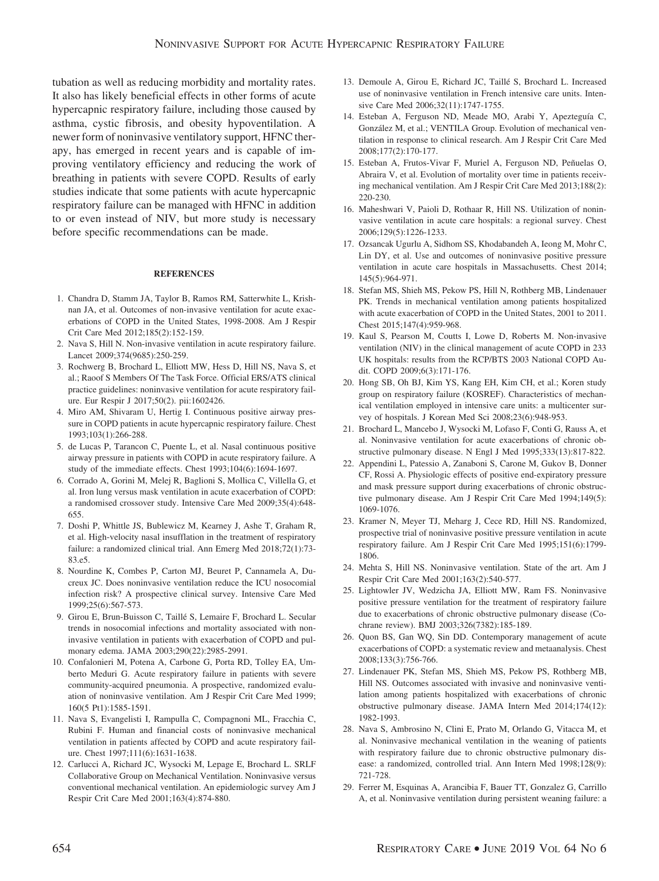tubation as well as reducing morbidity and mortality rates. It also has likely beneficial effects in other forms of acute hypercapnic respiratory failure, including those caused by asthma, cystic fibrosis, and obesity hypoventilation. A newer form of noninvasive ventilatory support, HFNC therapy, has emerged in recent years and is capable of improving ventilatory efficiency and reducing the work of breathing in patients with severe COPD. Results of early studies indicate that some patients with acute hypercapnic respiratory failure can be managed with HFNC in addition to or even instead of NIV, but more study is necessary before specific recommendations can be made.

#### **REFERENCES**

- 1. Chandra D, Stamm JA, Taylor B, Ramos RM, Satterwhite L, Krishnan JA, et al. Outcomes of non-invasive ventilation for acute exacerbations of COPD in the United States, 1998-2008. Am J Respir Crit Care Med 2012;185(2):152-159.
- 2. Nava S, Hill N. Non-invasive ventilation in acute respiratory failure. Lancet 2009;374(9685):250-259.
- 3. Rochwerg B, Brochard L, Elliott MW, Hess D, Hill NS, Nava S, et al.; Raoof S Members Of The Task Force. Official ERS/ATS clinical practice guidelines: noninvasive ventilation for acute respiratory failure. Eur Respir J 2017;50(2). pii:1602426.
- 4. Miro AM, Shivaram U, Hertig I. Continuous positive airway pressure in COPD patients in acute hypercapnic respiratory failure. Chest 1993;103(1):266-288.
- 5. de Lucas P, Tarancon C, Puente L, et al. Nasal continuous positive airway pressure in patients with COPD in acute respiratory failure. A study of the immediate effects. Chest 1993;104(6):1694-1697.
- 6. Corrado A, Gorini M, Melej R, Baglioni S, Mollica C, Villella G, et al. Iron lung versus mask ventilation in acute exacerbation of COPD: a randomised crossover study. Intensive Care Med 2009;35(4):648- 655.
- 7. Doshi P, Whittle JS, Bublewicz M, Kearney J, Ashe T, Graham R, et al. High-velocity nasal insufflation in the treatment of respiratory failure: a randomized clinical trial. Ann Emerg Med 2018;72(1):73- 83.e5.
- 8. Nourdine K, Combes P, Carton MJ, Beuret P, Cannamela A, Ducreux JC. Does noninvasive ventilation reduce the ICU nosocomial infection risk? A prospective clinical survey. Intensive Care Med 1999;25(6):567-573.
- 9. Girou E, Brun-Buisson C, Taillé S, Lemaire F, Brochard L. Secular trends in nosocomial infections and mortality associated with noninvasive ventilation in patients with exacerbation of COPD and pulmonary edema. JAMA 2003;290(22):2985-2991.
- 10. Confalonieri M, Potena A, Carbone G, Porta RD, Tolley EA, Umberto Meduri G. Acute respiratory failure in patients with severe community-acquired pneumonia. A prospective, randomized evaluation of noninvasive ventilation. Am J Respir Crit Care Med 1999; 160(5 Pt1):1585-1591.
- 11. Nava S, Evangelisti I, Rampulla C, Compagnoni ML, Fracchia C, Rubini F. Human and financial costs of noninvasive mechanical ventilation in patients affected by COPD and acute respiratory failure. Chest 1997;111(6):1631-1638.
- 12. Carlucci A, Richard JC, Wysocki M, Lepage E, Brochard L. SRLF Collaborative Group on Mechanical Ventilation. Noninvasive versus conventional mechanical ventilation. An epidemiologic survey Am J Respir Crit Care Med 2001;163(4):874-880.
- 13. Demoule A, Girou E, Richard JC, Taillé S, Brochard L. Increased use of noninvasive ventilation in French intensive care units. Intensive Care Med 2006;32(11):1747-1755.
- 14. Esteban A, Ferguson ND, Meade MO, Arabi Y, Apezteguía C, González M, et al.; VENTILA Group. Evolution of mechanical ventilation in response to clinical research. Am J Respir Crit Care Med 2008;177(2):170-177.
- 15. Esteban A, Frutos-Vivar F, Muriel A, Ferguson ND, Peñuelas O, Abraira V, et al. Evolution of mortality over time in patients receiving mechanical ventilation. Am J Respir Crit Care Med 2013;188(2): 220-230.
- 16. Maheshwari V, Paioli D, Rothaar R, Hill NS. Utilization of noninvasive ventilation in acute care hospitals: a regional survey. Chest 2006;129(5):1226-1233.
- 17. Ozsancak Ugurlu A, Sidhom SS, Khodabandeh A, Ieong M, Mohr C, Lin DY, et al. Use and outcomes of noninvasive positive pressure ventilation in acute care hospitals in Massachusetts. Chest 2014; 145(5):964-971.
- 18. Stefan MS, Shieh MS, Pekow PS, Hill N, Rothberg MB, Lindenauer PK. Trends in mechanical ventilation among patients hospitalized with acute exacerbation of COPD in the United States, 2001 to 2011. Chest 2015;147(4):959-968.
- 19. Kaul S, Pearson M, Coutts I, Lowe D, Roberts M. Non-invasive ventilation (NIV) in the clinical management of acute COPD in 233 UK hospitals: results from the RCP/BTS 2003 National COPD Audit. COPD 2009;6(3):171-176.
- 20. Hong SB, Oh BJ, Kim YS, Kang EH, Kim CH, et al.; Koren study group on respiratory failure (KOSREF). Characteristics of mechanical ventilation employed in intensive care units: a multicenter survey of hospitals. J Korean Med Sci 2008;23(6):948-953.
- 21. Brochard L, Mancebo J, Wysocki M, Lofaso F, Conti G, Rauss A, et al. Noninvasive ventilation for acute exacerbations of chronic obstructive pulmonary disease. N Engl J Med 1995;333(13):817-822.
- 22. Appendini L, Patessio A, Zanaboni S, Carone M, Gukov B, Donner CF, Rossi A. Physiologic effects of positive end-expiratory pressure and mask pressure support during exacerbations of chronic obstructive pulmonary disease. Am J Respir Crit Care Med 1994;149(5): 1069-1076.
- 23. Kramer N, Meyer TJ, Meharg J, Cece RD, Hill NS. Randomized, prospective trial of noninvasive positive pressure ventilation in acute respiratory failure. Am J Respir Crit Care Med 1995;151(6):1799- 1806.
- 24. Mehta S, Hill NS. Noninvasive ventilation. State of the art. Am J Respir Crit Care Med 2001;163(2):540-577.
- 25. Lightowler JV, Wedzicha JA, Elliott MW, Ram FS. Noninvasive positive pressure ventilation for the treatment of respiratory failure due to exacerbations of chronic obstructive pulmonary disease (Cochrane review). BMJ 2003;326(7382):185-189.
- 26. Quon BS, Gan WQ, Sin DD. Contemporary management of acute exacerbations of COPD: a systematic review and metaanalysis. Chest 2008;133(3):756-766.
- 27. Lindenauer PK, Stefan MS, Shieh MS, Pekow PS, Rothberg MB, Hill NS. Outcomes associated with invasive and noninvasive ventilation among patients hospitalized with exacerbations of chronic obstructive pulmonary disease. JAMA Intern Med 2014;174(12): 1982-1993.
- 28. Nava S, Ambrosino N, Clini E, Prato M, Orlando G, Vitacca M, et al. Noninvasive mechanical ventilation in the weaning of patients with respiratory failure due to chronic obstructive pulmonary disease: a randomized, controlled trial. Ann Intern Med 1998;128(9): 721-728.
- 29. Ferrer M, Esquinas A, Arancibia F, Bauer TT, Gonzalez G, Carrillo A, et al. Noninvasive ventilation during persistent weaning failure: a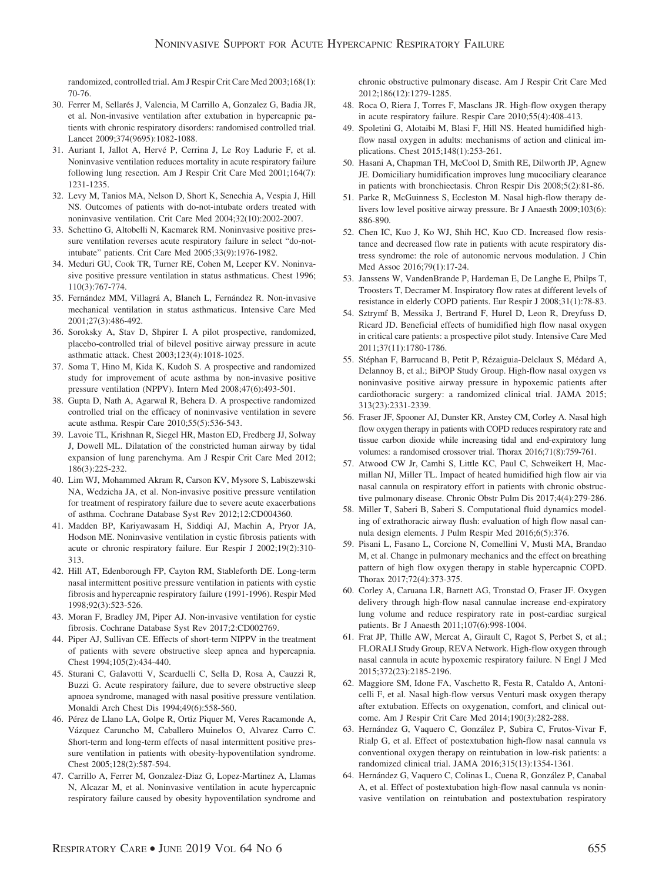randomized, controlled trial. Am J Respir Crit Care Med 2003;168(1): 70-76.

- 30. Ferrer M, Sellarés J, Valencia, M Carrillo A, Gonzalez G, Badia JR, et al. Non-invasive ventilation after extubation in hypercapnic patients with chronic respiratory disorders: randomised controlled trial. Lancet 2009;374(9695):1082-1088.
- 31. Auriant I, Jallot A, Hervé P, Cerrina J, Le Roy Ladurie F, et al. Noninvasive ventilation reduces mortality in acute respiratory failure following lung resection. Am J Respir Crit Care Med 2001;164(7): 1231-1235.
- 32. Levy M, Tanios MA, Nelson D, Short K, Senechia A, Vespia J, Hill NS. Outcomes of patients with do-not-intubate orders treated with noninvasive ventilation. Crit Care Med 2004;32(10):2002-2007.
- 33. Schettino G, Altobelli N, Kacmarek RM. Noninvasive positive pressure ventilation reverses acute respiratory failure in select "do-notintubate" patients. Crit Care Med 2005;33(9):1976-1982.
- 34. Meduri GU, Cook TR, Turner RE, Cohen M, Leeper KV. Noninvasive positive pressure ventilation in status asthmaticus. Chest 1996; 110(3):767-774.
- 35. Fernández MM, Villagrá A, Blanch L, Fernández R. Non-invasive mechanical ventilation in status asthmaticus. Intensive Care Med 2001;27(3):486-492.
- 36. Soroksky A, Stav D, Shpirer I. A pilot prospective, randomized, placebo-controlled trial of bilevel positive airway pressure in acute asthmatic attack. Chest 2003;123(4):1018-1025.
- 37. Soma T, Hino M, Kida K, Kudoh S. A prospective and randomized study for improvement of acute asthma by non-invasive positive pressure ventilation (NPPV). Intern Med 2008;47(6):493-501.
- 38. Gupta D, Nath A, Agarwal R, Behera D. A prospective randomized controlled trial on the efficacy of noninvasive ventilation in severe acute asthma. Respir Care 2010;55(5):536-543.
- 39. Lavoie TL, Krishnan R, Siegel HR, Maston ED, Fredberg JJ, Solway J, Dowell ML. Dilatation of the constricted human airway by tidal expansion of lung parenchyma. Am J Respir Crit Care Med 2012; 186(3):225-232.
- 40. Lim WJ, Mohammed Akram R, Carson KV, Mysore S, Labiszewski NA, Wedzicha JA, et al. Non-invasive positive pressure ventilation for treatment of respiratory failure due to severe acute exacerbations of asthma. Cochrane Database Syst Rev 2012;12:CD004360.
- 41. Madden BP, Kariyawasam H, Siddiqi AJ, Machin A, Pryor JA, Hodson ME. Noninvasive ventilation in cystic fibrosis patients with acute or chronic respiratory failure. Eur Respir J 2002;19(2):310- 313.
- 42. Hill AT, Edenborough FP, Cayton RM, Stableforth DE. Long-term nasal intermittent positive pressure ventilation in patients with cystic fibrosis and hypercapnic respiratory failure (1991-1996). Respir Med 1998;92(3):523-526.
- 43. Moran F, Bradley JM, Piper AJ. Non-invasive ventilation for cystic fibrosis. Cochrane Database Syst Rev 2017;2:CD002769.
- 44. Piper AJ, Sullivan CE. Effects of short-term NIPPV in the treatment of patients with severe obstructive sleep apnea and hypercapnia. Chest 1994;105(2):434-440.
- 45. Sturani C, Galavotti V, Scarduelli C, Sella D, Rosa A, Cauzzi R, Buzzi G. Acute respiratory failure, due to severe obstructive sleep apnoea syndrome, managed with nasal positive pressure ventilation. Monaldi Arch Chest Dis 1994;49(6):558-560.
- 46. Pérez de Llano LA, Golpe R, Ortiz Piquer M, Veres Racamonde A, Vázquez Caruncho M, Caballero Muinelos O, Alvarez Carro C. Short-term and long-term effects of nasal intermittent positive pressure ventilation in patients with obesity-hypoventilation syndrome. Chest 2005;128(2):587-594.
- 47. Carrillo A, Ferrer M, Gonzalez-Diaz G, Lopez-Martinez A, Llamas N, Alcazar M, et al. Noninvasive ventilation in acute hypercapnic respiratory failure caused by obesity hypoventilation syndrome and

chronic obstructive pulmonary disease. Am J Respir Crit Care Med 2012;186(12):1279-1285.

- 48. Roca O, Riera J, Torres F, Masclans JR. High-flow oxygen therapy in acute respiratory failure. Respir Care 2010;55(4):408-413.
- 49. Spoletini G, Alotaibi M, Blasi F, Hill NS. Heated humidified highflow nasal oxygen in adults: mechanisms of action and clinical implications. Chest 2015;148(1):253-261.
- 50. Hasani A, Chapman TH, McCool D, Smith RE, Dilworth JP, Agnew JE. Domiciliary humidification improves lung mucociliary clearance in patients with bronchiectasis. Chron Respir Dis 2008;5(2):81-86.
- 51. Parke R, McGuinness S, Eccleston M. Nasal high-flow therapy delivers low level positive airway pressure. Br J Anaesth 2009;103(6): 886-890.
- 52. Chen IC, Kuo J, Ko WJ, Shih HC, Kuo CD. Increased flow resistance and decreased flow rate in patients with acute respiratory distress syndrome: the role of autonomic nervous modulation. J Chin Med Assoc 2016;79(1):17-24.
- 53. Janssens W, VandenBrande P, Hardeman E, De Langhe E, Philps T, Troosters T, Decramer M. Inspiratory flow rates at different levels of resistance in elderly COPD patients. Eur Respir J 2008;31(1):78-83.
- 54. Sztrymf B, Messika J, Bertrand F, Hurel D, Leon R, Dreyfuss D, Ricard JD. Beneficial effects of humidified high flow nasal oxygen in critical care patients: a prospective pilot study. Intensive Care Med 2011;37(11):1780-1786.
- 55. Stéphan F, Barrucand B, Petit P, Rézaiguia-Delclaux S, Médard A, Delannoy B, et al.; BiPOP Study Group. High-flow nasal oxygen vs noninvasive positive airway pressure in hypoxemic patients after cardiothoracic surgery: a randomized clinical trial. JAMA 2015; 313(23):2331-2339.
- 56. Fraser JF, Spooner AJ, Dunster KR, Anstey CM, Corley A. Nasal high flow oxygen therapy in patients with COPD reduces respiratory rate and tissue carbon dioxide while increasing tidal and end-expiratory lung volumes: a randomised crossover trial. Thorax 2016;71(8):759-761.
- 57. Atwood CW Jr, Camhi S, Little KC, Paul C, Schweikert H, Macmillan NJ, Miller TL. Impact of heated humidified high flow air via nasal cannula on respiratory effort in patients with chronic obstructive pulmonary disease. Chronic Obstr Pulm Dis 2017;4(4):279-286.
- 58. Miller T, Saberi B, Saberi S. Computational fluid dynamics modeling of extrathoracic airway flush: evaluation of high flow nasal cannula design elements. J Pulm Respir Med 2016;6(5):376.
- 59. Pisani L, Fasano L, Corcione N, Comellini V, Musti MA, Brandao M, et al. Change in pulmonary mechanics and the effect on breathing pattern of high flow oxygen therapy in stable hypercapnic COPD. Thorax 2017;72(4):373-375.
- 60. Corley A, Caruana LR, Barnett AG, Tronstad O, Fraser JF. Oxygen delivery through high-flow nasal cannulae increase end-expiratory lung volume and reduce respiratory rate in post-cardiac surgical patients. Br J Anaesth 2011;107(6):998-1004.
- 61. Frat JP, Thille AW, Mercat A, Girault C, Ragot S, Perbet S, et al.; FLORALI Study Group, REVA Network. High-flow oxygen through nasal cannula in acute hypoxemic respiratory failure. N Engl J Med 2015;372(23):2185-2196.
- 62. Maggiore SM, Idone FA, Vaschetto R, Festa R, Cataldo A, Antonicelli F, et al. Nasal high-flow versus Venturi mask oxygen therapy after extubation. Effects on oxygenation, comfort, and clinical outcome. Am J Respir Crit Care Med 2014;190(3):282-288.
- 63. Hernández G, Vaquero C, González P, Subira C, Frutos-Vivar F, Rialp G, et al. Effect of postextubation high-flow nasal cannula vs conventional oxygen therapy on reintubation in low-risk patients: a randomized clinical trial. JAMA 2016;315(13):1354-1361.
- 64. Hernández G, Vaquero C, Colinas L, Cuena R, González P, Canabal A, et al. Effect of postextubation high-flow nasal cannula vs noninvasive ventilation on reintubation and postextubation respiratory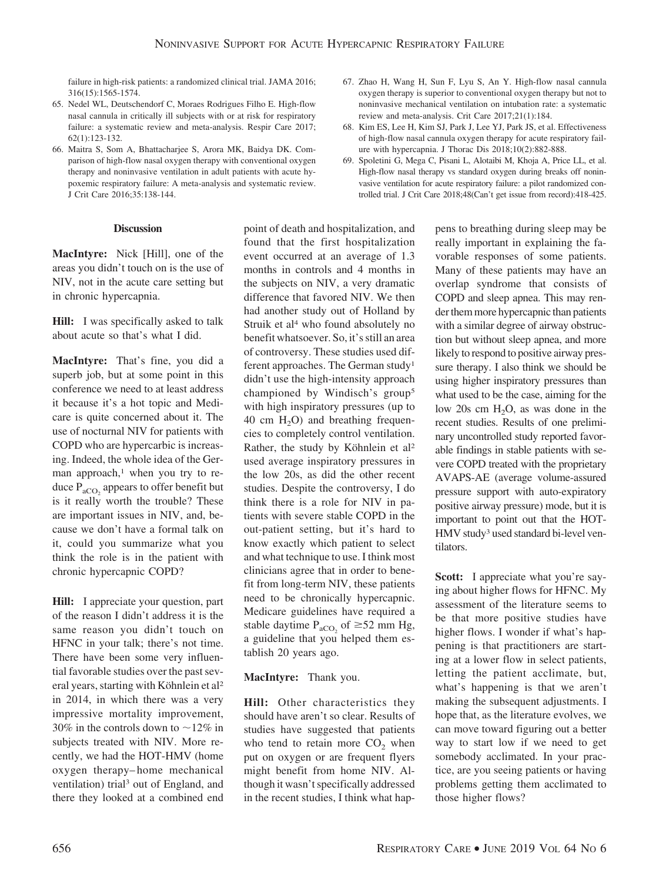failure in high-risk patients: a randomized clinical trial. JAMA 2016; 316(15):1565-1574.

- 65. Nedel WL, Deutschendorf C, Moraes Rodrigues Filho E. High-flow nasal cannula in critically ill subjects with or at risk for respiratory failure: a systematic review and meta-analysis. Respir Care 2017; 62(1):123-132.
- 66. Maitra S, Som A, Bhattacharjee S, Arora MK, Baidya DK. Comparison of high-flow nasal oxygen therapy with conventional oxygen therapy and noninvasive ventilation in adult patients with acute hypoxemic respiratory failure: A meta-analysis and systematic review. J Crit Care 2016;35:138-144.

#### **Discussion**

**MacIntyre:** Nick [Hill], one of the areas you didn't touch on is the use of NIV, not in the acute care setting but in chronic hypercapnia.

**Hill:** I was specifically asked to talk about acute so that's what I did.

**MacIntyre:** That's fine, you did a superb job, but at some point in this conference we need to at least address it because it's a hot topic and Medicare is quite concerned about it. The use of nocturnal NIV for patients with COPD who are hypercarbic is increasing. Indeed, the whole idea of the German approach,<sup>1</sup> when you try to reduce  $P_{aCO}$ , appears to offer benefit but is it really worth the trouble? These are important issues in NIV, and, because we don't have a formal talk on it, could you summarize what you think the role is in the patient with chronic hypercapnic COPD?

**Hill:** I appreciate your question, part of the reason I didn't address it is the same reason you didn't touch on HFNC in your talk; there's not time. There have been some very influential favorable studies over the past several years, starting with Köhnlein et al<sup>2</sup> in 2014, in which there was a very impressive mortality improvement, 30% in the controls down to  $\sim$ 12% in subjects treated with NIV. More recently, we had the HOT-HMV (home oxygen therapy– home mechanical ventilation) trial3 out of England, and there they looked at a combined end

point of death and hospitalization, and found that the first hospitalization event occurred at an average of 1.3 months in controls and 4 months in the subjects on NIV, a very dramatic difference that favored NIV. We then had another study out of Holland by Struik et al<sup>4</sup> who found absolutely no benefit whatsoever. So, it's still an area of controversy. These studies used different approaches. The German study1 didn't use the high-intensity approach championed by Windisch's group5 with high inspiratory pressures (up to 40 cm  $H_2O$ ) and breathing frequencies to completely control ventilation. Rather, the study by Köhnlein et al<sup>2</sup> used average inspiratory pressures in the low 20s, as did the other recent studies. Despite the controversy, I do think there is a role for NIV in patients with severe stable COPD in the out-patient setting, but it's hard to know exactly which patient to select and what technique to use. I think most clinicians agree that in order to benefit from long-term NIV, these patients need to be chronically hypercapnic. Medicare guidelines have required a stable daytime  $P_{aCO_2}$  of  $\geq 52$  mm Hg, a guideline that you helped them establish 20 years ago.

# **MacIntyre:** Thank you.

**Hill:** Other characteristics they should have aren't so clear. Results of studies have suggested that patients who tend to retain more  $CO<sub>2</sub>$  when put on oxygen or are frequent flyers might benefit from home NIV. Although it wasn't specifically addressed in the recent studies, I think what hap-

- 67. Zhao H, Wang H, Sun F, Lyu S, An Y. High-flow nasal cannula oxygen therapy is superior to conventional oxygen therapy but not to noninvasive mechanical ventilation on intubation rate: a systematic review and meta-analysis. Crit Care 2017;21(1):184.
- 68. Kim ES, Lee H, Kim SJ, Park J, Lee YJ, Park JS, et al. Effectiveness of high-flow nasal cannula oxygen therapy for acute respiratory failure with hypercapnia. J Thorac Dis 2018;10(2):882-888.
- 69. Spoletini G, Mega C, Pisani L, Alotaibi M, Khoja A, Price LL, et al. High-flow nasal therapy vs standard oxygen during breaks off noninvasive ventilation for acute respiratory failure: a pilot randomized controlled trial. J Crit Care 2018;48(Can't get issue from record):418-425.

pens to breathing during sleep may be really important in explaining the favorable responses of some patients. Many of these patients may have an overlap syndrome that consists of COPD and sleep apnea. This may render them more hypercapnic than patients with a similar degree of airway obstruction but without sleep apnea, and more likely to respond to positive airway pressure therapy. I also think we should be using higher inspiratory pressures than what used to be the case, aiming for the low 20s cm  $H_2O$ , as was done in the recent studies. Results of one preliminary uncontrolled study reported favorable findings in stable patients with severe COPD treated with the proprietary AVAPS-AE (average volume-assured pressure support with auto-expiratory positive airway pressure) mode, but it is important to point out that the HOT-HMV study3 used standard bi-level ventilators.

**Scott:** I appreciate what you're saying about higher flows for HFNC. My assessment of the literature seems to be that more positive studies have higher flows. I wonder if what's happening is that practitioners are starting at a lower flow in select patients, letting the patient acclimate, but, what's happening is that we aren't making the subsequent adjustments. I hope that, as the literature evolves, we can move toward figuring out a better way to start low if we need to get somebody acclimated. In your practice, are you seeing patients or having problems getting them acclimated to those higher flows?